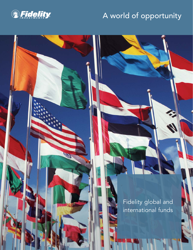

**ANG** 

### A world of opportunity

Fidelity global and international funds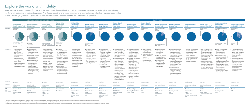## Explore the world with Fidelity

Investors have access to a world of choice with the wide range of mutual funds and related investment solutions that Fidelity has created using our fundamental, bottom-up investment approach. And these products offer a broad spectrum of diversification opportunities – by asset class, sector, market cap and geography – to give investors all the diversification choices they need for a well-balanced portfolio.



1 While the funds are typically managed to the constraints shown, the portfolio managers retain the discretion to deviate from them, and may not be included in the prospectus as part of the fund's investment strategies.

2 High income includes, but is not limited to, high-yield securities, emerging market debt securities, and floating rate debt instruments.

3 Fidelity Global Intrinsic Value Class is closed to new purchases and switches for registered plans, except for existing systematic transactions. For registered plans, investors may consider purchasing Fidelity Global Int